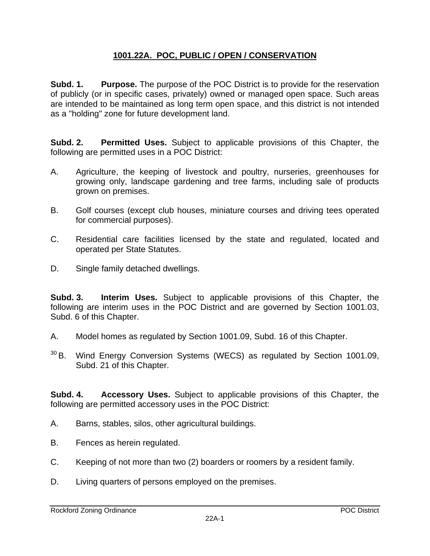## **1001.22A. POC, PUBLIC / OPEN / CONSERVATION**

**Subd. 1.** Purpose. The purpose of the POC District is to provide for the reservation of publicly (or in specific cases, privately) owned or managed open space. Such areas are intended to be maintained as long term open space, and this district is not intended as a "holding" zone for future development land.

**Subd. 2. Permitted Uses.** Subject to applicable provisions of this Chapter, the following are permitted uses in a POC District:

- A. Agriculture, the keeping of livestock and poultry, nurseries, greenhouses for growing only, landscape gardening and tree farms, including sale of products grown on premises.
- B. Golf courses (except club houses, miniature courses and driving tees operated for commercial purposes).
- C. Residential care facilities licensed by the state and regulated, located and operated per State Statutes.
- D. Single family detached dwellings.

**Subd. 3. Interim Uses.** Subject to applicable provisions of this Chapter, the following are interim uses in the POC District and are governed by Section 1001.03, Subd. 6 of this Chapter.

- A. Model homes as regulated by Section 1001.09, Subd. 16 of this Chapter.
- 30 B. Wind Energy Conversion Systems (WECS) as regulated by Section 1001.09, Subd. 21 of this Chapter.

**Subd. 4. Accessory Uses.** Subject to applicable provisions of this Chapter, the following are permitted accessory uses in the POC District:

- A. Barns, stables, silos, other agricultural buildings.
- B. Fences as herein regulated.
- C. Keeping of not more than two (2) boarders or roomers by a resident family.
- D. Living quarters of persons employed on the premises.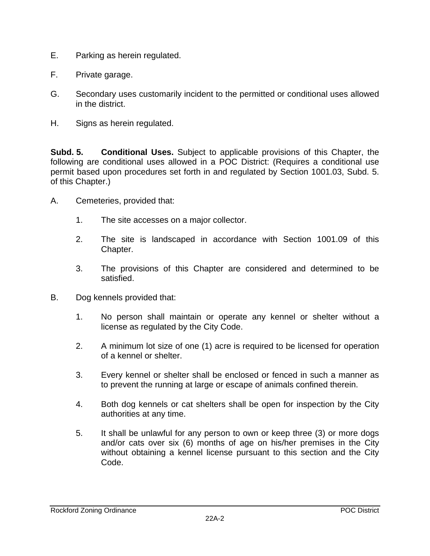- E. Parking as herein regulated.
- F. Private garage.
- G. Secondary uses customarily incident to the permitted or conditional uses allowed in the district.
- H. Signs as herein regulated.

**Subd. 5. Conditional Uses.** Subject to applicable provisions of this Chapter, the following are conditional uses allowed in a POC District: (Requires a conditional use permit based upon procedures set forth in and regulated by Section 1001.03, Subd. 5. of this Chapter.)

- A. Cemeteries, provided that:
	- 1. The site accesses on a major collector.
	- 2. The site is landscaped in accordance with Section 1001.09 of this Chapter.
	- 3. The provisions of this Chapter are considered and determined to be satisfied.
- B. Dog kennels provided that:
	- 1. No person shall maintain or operate any kennel or shelter without a license as regulated by the City Code.
	- 2. A minimum lot size of one (1) acre is required to be licensed for operation of a kennel or shelter.
	- 3. Every kennel or shelter shall be enclosed or fenced in such a manner as to prevent the running at large or escape of animals confined therein.
	- 4. Both dog kennels or cat shelters shall be open for inspection by the City authorities at any time.
	- 5. It shall be unlawful for any person to own or keep three (3) or more dogs and/or cats over six (6) months of age on his/her premises in the City without obtaining a kennel license pursuant to this section and the City Code.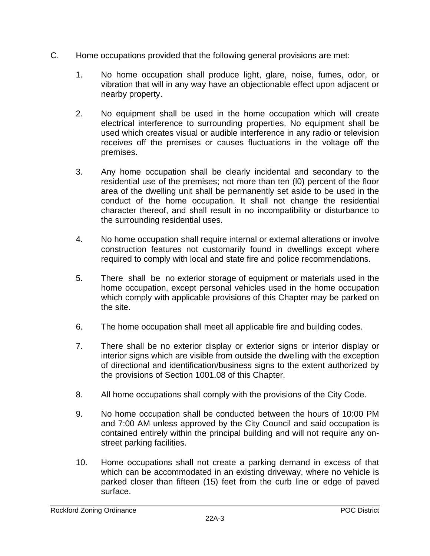- C. Home occupations provided that the following general provisions are met:
	- 1. No home occupation shall produce light, glare, noise, fumes, odor, or vibration that will in any way have an objectionable effect upon adjacent or nearby property.
	- 2. No equipment shall be used in the home occupation which will create electrical interference to surrounding properties. No equipment shall be used which creates visual or audible interference in any radio or television receives off the premises or causes fluctuations in the voltage off the premises.
	- 3. Any home occupation shall be clearly incidental and secondary to the residential use of the premises; not more than ten (l0) percent of the floor area of the dwelling unit shall be permanently set aside to be used in the conduct of the home occupation. It shall not change the residential character thereof, and shall result in no incompatibility or disturbance to the surrounding residential uses.
	- 4. No home occupation shall require internal or external alterations or involve construction features not customarily found in dwellings except where required to comply with local and state fire and police recommendations.
	- 5. There shall be no exterior storage of equipment or materials used in the home occupation, except personal vehicles used in the home occupation which comply with applicable provisions of this Chapter may be parked on the site.
	- 6. The home occupation shall meet all applicable fire and building codes.
	- 7. There shall be no exterior display or exterior signs or interior display or interior signs which are visible from outside the dwelling with the exception of directional and identification/business signs to the extent authorized by the provisions of Section 1001.08 of this Chapter.
	- 8. All home occupations shall comply with the provisions of the City Code.
	- 9. No home occupation shall be conducted between the hours of 10:00 PM and 7:00 AM unless approved by the City Council and said occupation is contained entirely within the principal building and will not require any onstreet parking facilities.
	- 10. Home occupations shall not create a parking demand in excess of that which can be accommodated in an existing driveway, where no vehicle is parked closer than fifteen (15) feet from the curb line or edge of paved surface.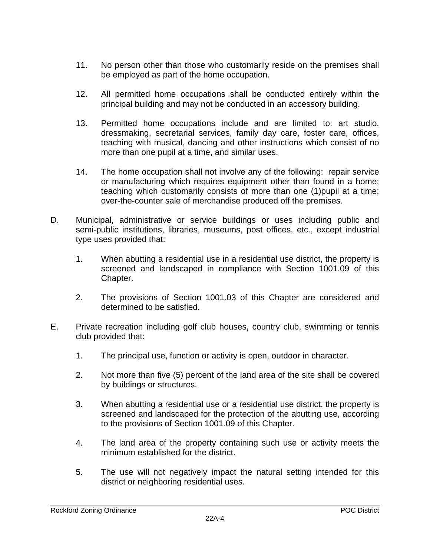- 11. No person other than those who customarily reside on the premises shall be employed as part of the home occupation.
- 12. All permitted home occupations shall be conducted entirely within the principal building and may not be conducted in an accessory building.
- 13. Permitted home occupations include and are limited to: art studio, dressmaking, secretarial services, family day care, foster care, offices, teaching with musical, dancing and other instructions which consist of no more than one pupil at a time, and similar uses.
- 14. The home occupation shall not involve any of the following: repair service or manufacturing which requires equipment other than found in a home; teaching which customarily consists of more than one (1)pupil at a time; over-the-counter sale of merchandise produced off the premises.
- D. Municipal, administrative or service buildings or uses including public and semi-public institutions, libraries, museums, post offices, etc., except industrial type uses provided that:
	- 1. When abutting a residential use in a residential use district, the property is screened and landscaped in compliance with Section 1001.09 of this Chapter.
	- 2. The provisions of Section 1001.03 of this Chapter are considered and determined to be satisfied.
- E. Private recreation including golf club houses, country club, swimming or tennis club provided that:
	- 1. The principal use, function or activity is open, outdoor in character.
	- 2. Not more than five (5) percent of the land area of the site shall be covered by buildings or structures.
	- 3. When abutting a residential use or a residential use district, the property is screened and landscaped for the protection of the abutting use, according to the provisions of Section 1001.09 of this Chapter.
	- 4. The land area of the property containing such use or activity meets the minimum established for the district.
	- 5. The use will not negatively impact the natural setting intended for this district or neighboring residential uses.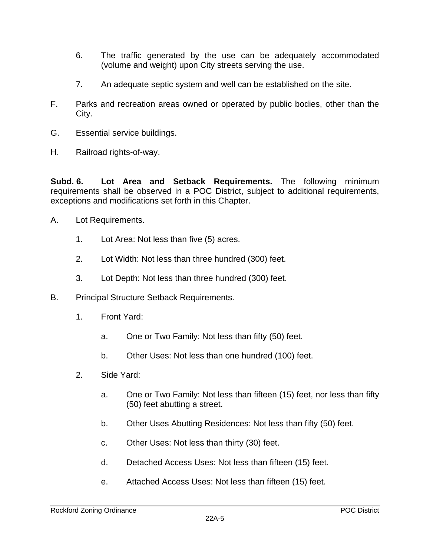- 6. The traffic generated by the use can be adequately accommodated (volume and weight) upon City streets serving the use.
- 7. An adequate septic system and well can be established on the site.
- F. Parks and recreation areas owned or operated by public bodies, other than the City.
- G. Essential service buildings.
- H. Railroad rights-of-way.

**Subd. 6. Lot Area and Setback Requirements.** The following minimum requirements shall be observed in a POC District, subject to additional requirements, exceptions and modifications set forth in this Chapter.

- A. Lot Requirements.
	- 1. Lot Area: Not less than five (5) acres.
	- 2. Lot Width: Not less than three hundred (300) feet.
	- 3. Lot Depth: Not less than three hundred (300) feet.
- B. Principal Structure Setback Requirements.
	- 1. Front Yard:
		- a. One or Two Family: Not less than fifty (50) feet.
		- b. Other Uses: Not less than one hundred (100) feet.
	- 2. Side Yard:
		- a. One or Two Family: Not less than fifteen (15) feet, nor less than fifty (50) feet abutting a street.
		- b. Other Uses Abutting Residences: Not less than fifty (50) feet.
		- c. Other Uses: Not less than thirty (30) feet.
		- d. Detached Access Uses: Not less than fifteen (15) feet.
		- e. Attached Access Uses: Not less than fifteen (15) feet.